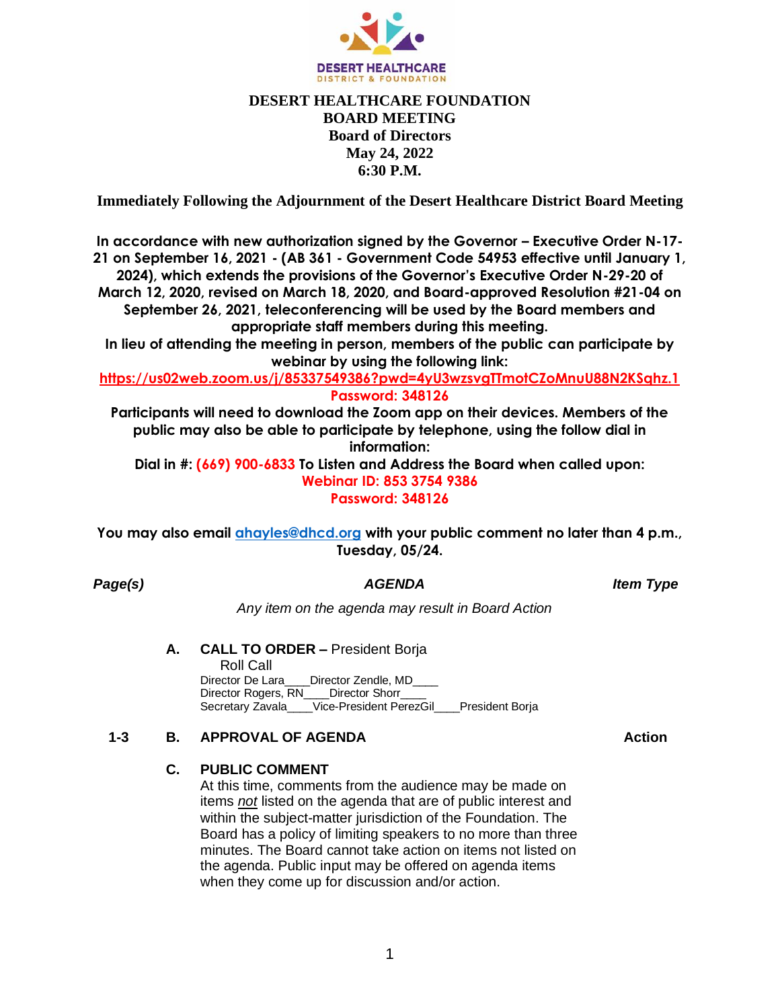

# **DESERT HEALTHCARE FOUNDATION BOARD MEETING Board of Directors May 24, 2022 6:30 P.M.**

**Immediately Following the Adjournment of the Desert Healthcare District Board Meeting**

**In accordance with new authorization signed by the Governor – Executive Order N-17- 21 on September 16, 2021 - (AB 361 - Government Code 54953 effective until January 1, 2024), which extends the provisions of the Governor's Executive Order N-29-20 of March 12, 2020, revised on March 18, 2020, and Board-approved Resolution #21-04 on September 26, 2021, teleconferencing will be used by the Board members and appropriate staff members during this meeting.** 

**In lieu of attending the meeting in person, members of the public can participate by webinar by using the following link:** 

**https://us02web.zoom.us/j/85337549386?pwd=4yU3wzsvgTTmotCZoMnuU88N2KSqhz.1 Password: 348126**

**Participants will need to download the Zoom app on their devices. Members of the public may also be able to participate by telephone, using the follow dial in information:**

**Dial in #: (669) 900-6833 To Listen and Address the Board when called upon: Webinar ID: 853 3754 9386 Password: 348126**

**You may also email [ahayles@dhcd.org](mailto:ahayles@dhcd.org) with your public comment no later than 4 p.m., Tuesday, 05/24.**

*Page(s) AGENDA Item Type*

*Any item on the agenda may result in Board Action*

#### **A. CALL TO ORDER –** President Borja Roll Call Director De Lara\_\_\_\_Director Zendle, MD\_\_\_\_ Director Rogers, RN\_\_\_\_Director Shorr\_\_\_\_ Secretary Zavala Vice-President PerezGil President Borja

## **1-3 B. APPROVAL OF AGENDA Action**

## **C. PUBLIC COMMENT**

At this time, comments from the audience may be made on items *not* listed on the agenda that are of public interest and within the subject-matter jurisdiction of the Foundation. The Board has a policy of limiting speakers to no more than three minutes. The Board cannot take action on items not listed on the agenda. Public input may be offered on agenda items when they come up for discussion and/or action.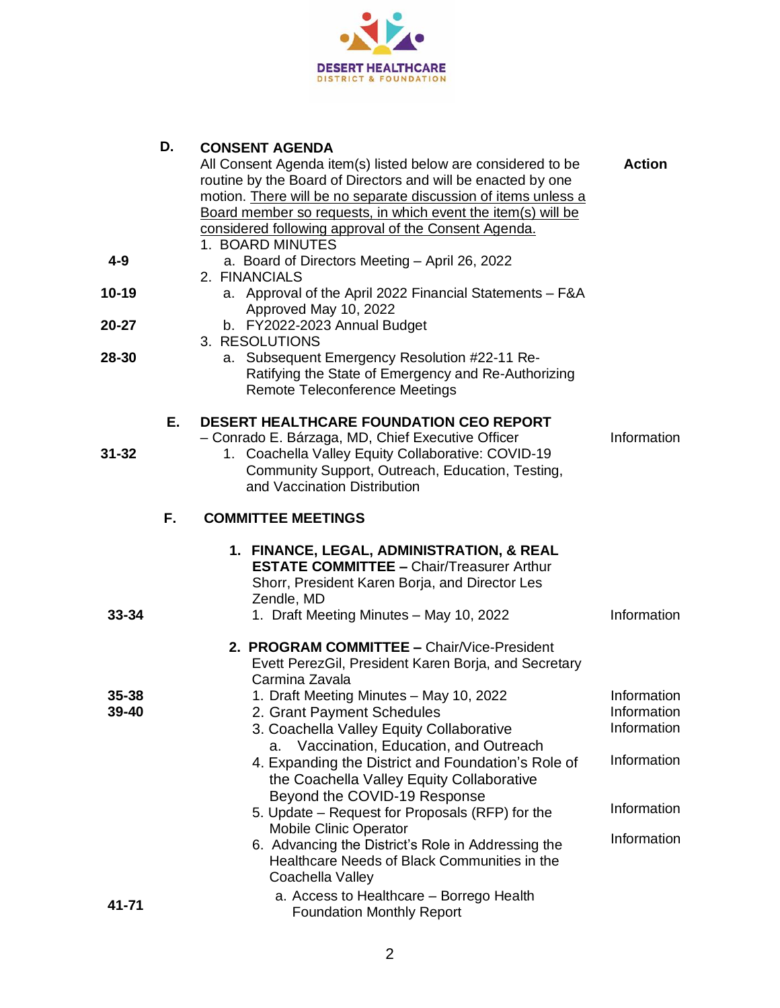

| D. | <b>CONSENT AGENDA</b> |  |
|----|-----------------------|--|
|    |                       |  |

|                |    | All Consent Agenda item(s) listed below are considered to be<br>routine by the Board of Directors and will be enacted by one<br>motion. There will be no separate discussion of items unless a<br>Board member so requests, in which event the item(s) will be<br>considered following approval of the Consent Agenda.<br>1. BOARD MINUTES | <b>Action</b>                             |
|----------------|----|--------------------------------------------------------------------------------------------------------------------------------------------------------------------------------------------------------------------------------------------------------------------------------------------------------------------------------------------|-------------------------------------------|
| $4 - 9$        |    | a. Board of Directors Meeting - April 26, 2022<br>2. FINANCIALS                                                                                                                                                                                                                                                                            |                                           |
| 10-19          |    | a. Approval of the April 2022 Financial Statements - F&A<br>Approved May 10, 2022                                                                                                                                                                                                                                                          |                                           |
| 20-27          |    | b. FY2022-2023 Annual Budget<br>3. RESOLUTIONS                                                                                                                                                                                                                                                                                             |                                           |
| 28-30          |    | a. Subsequent Emergency Resolution #22-11 Re-<br>Ratifying the State of Emergency and Re-Authorizing<br>Remote Teleconference Meetings                                                                                                                                                                                                     |                                           |
| $31 - 32$      | Е. | <b>DESERT HEALTHCARE FOUNDATION CEO REPORT</b><br>- Conrado E. Bárzaga, MD, Chief Executive Officer<br>1. Coachella Valley Equity Collaborative: COVID-19<br>Community Support, Outreach, Education, Testing,<br>and Vaccination Distribution                                                                                              | Information                               |
|                | F. | <b>COMMITTEE MEETINGS</b>                                                                                                                                                                                                                                                                                                                  |                                           |
| 33-34          |    | 1. FINANCE, LEGAL, ADMINISTRATION, & REAL<br><b>ESTATE COMMITTEE - Chair/Treasurer Arthur</b><br>Shorr, President Karen Borja, and Director Les<br>Zendle, MD<br>1. Draft Meeting Minutes - May 10, 2022                                                                                                                                   | Information                               |
|                |    | 2. PROGRAM COMMITTEE - Chair/Vice-President<br>Evett PerezGil, President Karen Borja, and Secretary<br>Carmina Zavala                                                                                                                                                                                                                      |                                           |
| 35-38<br>39-40 |    | 1. Draft Meeting Minutes - May 10, 2022<br>2. Grant Payment Schedules<br>3. Coachella Valley Equity Collaborative<br>Vaccination, Education, and Outreach<br>a.                                                                                                                                                                            | Information<br>Information<br>Information |
|                |    | 4. Expanding the District and Foundation's Role of<br>the Coachella Valley Equity Collaborative                                                                                                                                                                                                                                            | Information                               |
|                |    | Beyond the COVID-19 Response<br>5. Update – Request for Proposals (RFP) for the                                                                                                                                                                                                                                                            | Information                               |
|                |    | <b>Mobile Clinic Operator</b><br>6. Advancing the District's Role in Addressing the<br>Healthcare Needs of Black Communities in the<br>Coachella Valley                                                                                                                                                                                    | Information                               |
| 41-71          |    | a. Access to Healthcare - Borrego Health<br><b>Foundation Monthly Report</b>                                                                                                                                                                                                                                                               |                                           |